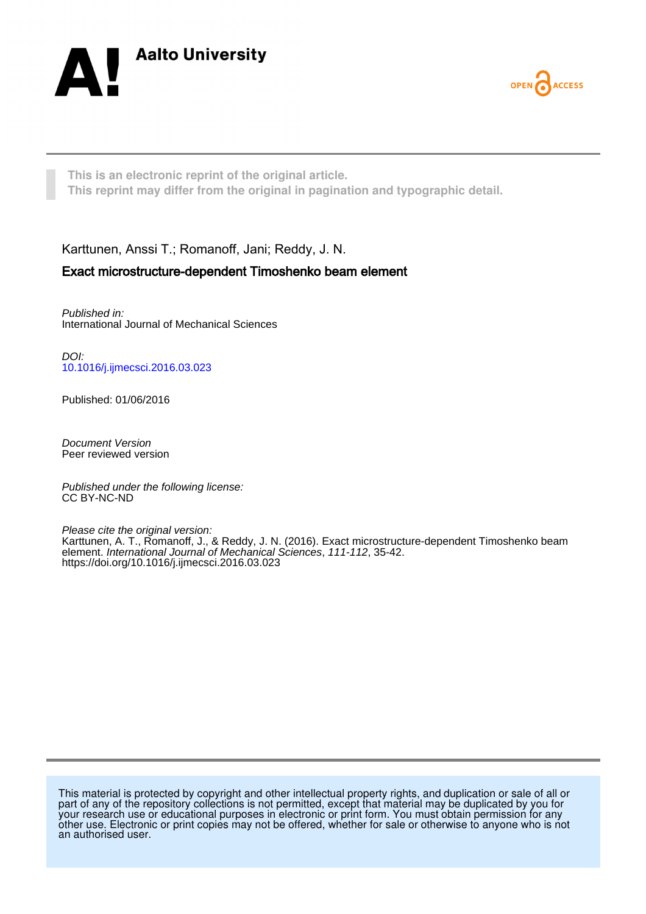



**This is an electronic reprint of the original article. This reprint may differ from the original in pagination and typographic detail.**

Karttunen, Anssi T.; Romanoff, Jani; Reddy, J. N.

# Exact microstructure-dependent Timoshenko beam element

Published in: International Journal of Mechanical Sciences

DOI: [10.1016/j.ijmecsci.2016.03.023](https://doi.org/10.1016/j.ijmecsci.2016.03.023)

Published: 01/06/2016

Document Version Peer reviewed version

Published under the following license: CC BY-NC-ND

Please cite the original version: Karttunen, A. T., Romanoff, J., & Reddy, J. N. (2016). Exact microstructure-dependent Timoshenko beam element. International Journal of Mechanical Sciences, 111-112, 35-42. <https://doi.org/10.1016/j.ijmecsci.2016.03.023>

This material is protected by copyright and other intellectual property rights, and duplication or sale of all or part of any of the repository collections is not permitted, except that material may be duplicated by you for your research use or educational purposes in electronic or print form. You must obtain permission for any other use. Electronic or print copies may not be offered, whether for sale or otherwise to anyone who is not an authorised user.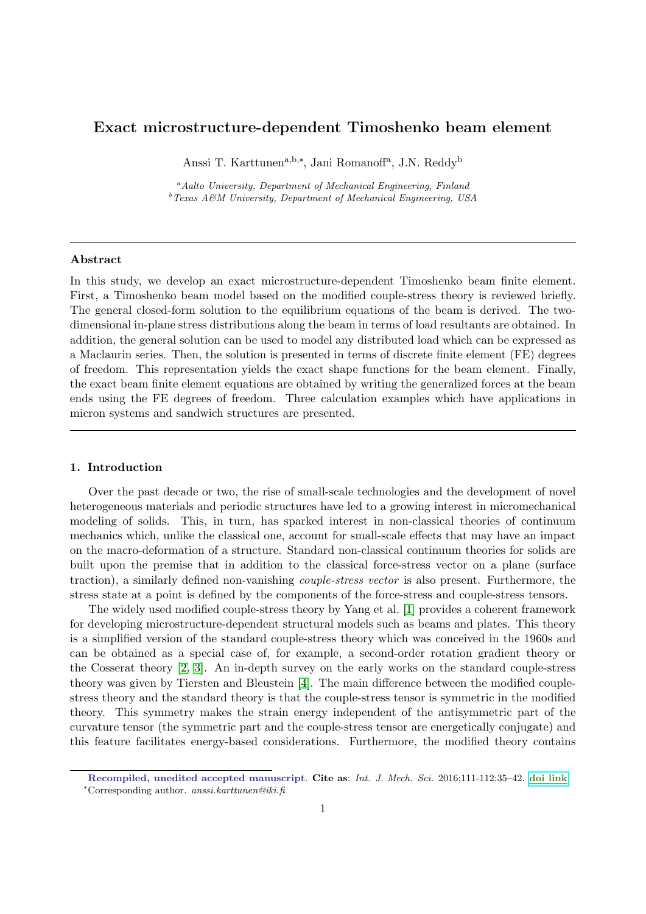# Exact microstructure-dependent Timoshenko beam element

Anssi T. Karttunen<sup>a,b,∗</sup>, Jani Romanoff<sup>a</sup>, J.N. Reddy<sup>b</sup>

 $a<sup>a</sup>Aalto University, Department of Mechanical Engineering, Finland$  $b$  Texas A&M University, Department of Mechanical Engineering, USA

## Abstract

In this study, we develop an exact microstructure-dependent Timoshenko beam finite element. First, a Timoshenko beam model based on the modified couple-stress theory is reviewed briefly. The general closed-form solution to the equilibrium equations of the beam is derived. The twodimensional in-plane stress distributions along the beam in terms of load resultants are obtained. In addition, the general solution can be used to model any distributed load which can be expressed as a Maclaurin series. Then, the solution is presented in terms of discrete finite element (FE) degrees of freedom. This representation yields the exact shape functions for the beam element. Finally, the exact beam finite element equations are obtained by writing the generalized forces at the beam ends using the FE degrees of freedom. Three calculation examples which have applications in micron systems and sandwich structures are presented.

## 1. Introduction

Over the past decade or two, the rise of small-scale technologies and the development of novel heterogeneous materials and periodic structures have led to a growing interest in micromechanical modeling of solids. This, in turn, has sparked interest in non-classical theories of continuum mechanics which, unlike the classical one, account for small-scale effects that may have an impact on the macro-deformation of a structure. Standard non-classical continuum theories for solids are built upon the premise that in addition to the classical force-stress vector on a plane (surface traction), a similarly defined non-vanishing couple-stress vector is also present. Furthermore, the stress state at a point is defined by the components of the force-stress and couple-stress tensors.

The widely used modified couple-stress theory by Yang et al. [\[1\]](#page-15-0) provides a coherent framework for developing microstructure-dependent structural models such as beams and plates. This theory is a simplified version of the standard couple-stress theory which was conceived in the 1960s and can be obtained as a special case of, for example, a second-order rotation gradient theory or the Cosserat theory [\[2,](#page-15-1) [3\]](#page-15-2). An in-depth survey on the early works on the standard couple-stress theory was given by Tiersten and Bleustein [\[4\]](#page-15-3). The main difference between the modified couplestress theory and the standard theory is that the couple-stress tensor is symmetric in the modified theory. This symmetry makes the strain energy independent of the antisymmetric part of the curvature tensor (the symmetric part and the couple-stress tensor are energetically conjugate) and this feature facilitates energy-based considerations. Furthermore, the modified theory contains

Recompiled, unedited accepted manuscript. Cite as: Int. J. Mech. Sci. 2016;111-112:35–42. [doi link](http://dx.doi.org/doi:10.1016/j.ijmecsci.2016.03.023) <sup>∗</sup>Corresponding author. anssi.karttunen@iki.fi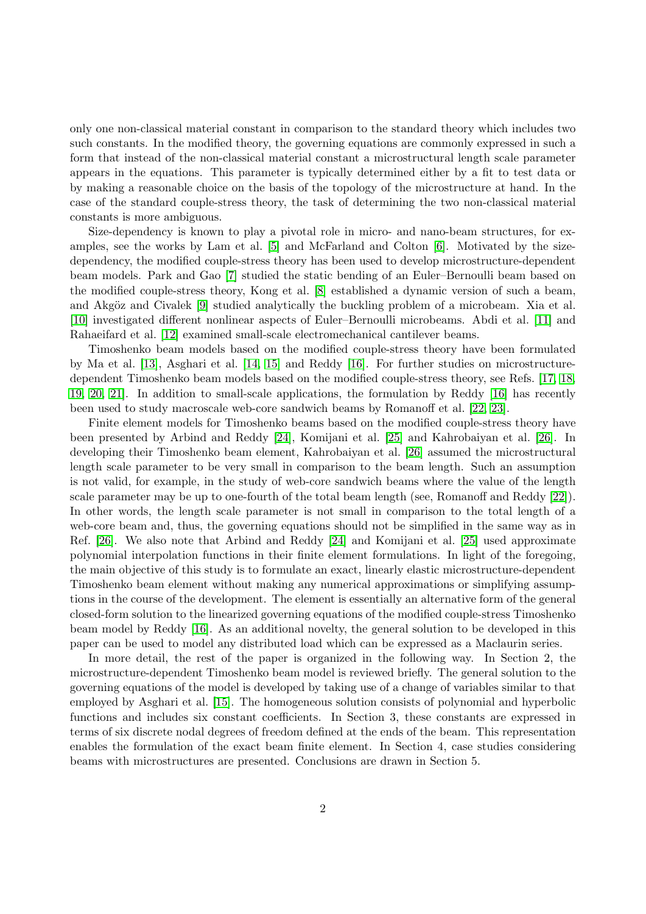only one non-classical material constant in comparison to the standard theory which includes two such constants. In the modified theory, the governing equations are commonly expressed in such a form that instead of the non-classical material constant a microstructural length scale parameter appears in the equations. This parameter is typically determined either by a fit to test data or by making a reasonable choice on the basis of the topology of the microstructure at hand. In the case of the standard couple-stress theory, the task of determining the two non-classical material constants is more ambiguous.

Size-dependency is known to play a pivotal role in micro- and nano-beam structures, for examples, see the works by Lam et al. [\[5\]](#page-15-4) and McFarland and Colton [\[6\]](#page-15-5). Motivated by the sizedependency, the modified couple-stress theory has been used to develop microstructure-dependent beam models. Park and Gao [\[7\]](#page-15-6) studied the static bending of an Euler–Bernoulli beam based on the modified couple-stress theory, Kong et al. [\[8\]](#page-15-7) established a dynamic version of such a beam, and Akgöz and Civalek [\[9\]](#page-15-8) studied analytically the buckling problem of a microbeam. Xia et al. [\[10\]](#page-15-9) investigated different nonlinear aspects of Euler–Bernoulli microbeams. Abdi et al. [\[11\]](#page-15-10) and Rahaeifard et al. [\[12\]](#page-15-11) examined small-scale electromechanical cantilever beams.

Timoshenko beam models based on the modified couple-stress theory have been formulated by Ma et al. [\[13\]](#page-15-12), Asghari et al. [\[14,](#page-15-13) [15\]](#page-15-14) and Reddy [\[16\]](#page-15-15). For further studies on microstructuredependent Timoshenko beam models based on the modified couple-stress theory, see Refs. [\[17,](#page-15-16) [18,](#page-15-17) [19,](#page-15-18) [20,](#page-15-19) [21\]](#page-15-20). In addition to small-scale applications, the formulation by Reddy [\[16\]](#page-15-15) has recently been used to study macroscale web-core sandwich beams by Romanoff et al. [\[22,](#page-15-21) [23\]](#page-15-22).

Finite element models for Timoshenko beams based on the modified couple-stress theory have been presented by Arbind and Reddy [\[24\]](#page-15-23), Komijani et al. [\[25\]](#page-15-24) and Kahrobaiyan et al. [\[26\]](#page-15-25). In developing their Timoshenko beam element, Kahrobaiyan et al. [\[26\]](#page-15-25) assumed the microstructural length scale parameter to be very small in comparison to the beam length. Such an assumption is not valid, for example, in the study of web-core sandwich beams where the value of the length scale parameter may be up to one-fourth of the total beam length (see, Romanoff and Reddy [\[22\]](#page-15-21)). In other words, the length scale parameter is not small in comparison to the total length of a web-core beam and, thus, the governing equations should not be simplified in the same way as in Ref. [\[26\]](#page-15-25). We also note that Arbind and Reddy [\[24\]](#page-15-23) and Komijani et al. [\[25\]](#page-15-24) used approximate polynomial interpolation functions in their finite element formulations. In light of the foregoing, the main objective of this study is to formulate an exact, linearly elastic microstructure-dependent Timoshenko beam element without making any numerical approximations or simplifying assumptions in the course of the development. The element is essentially an alternative form of the general closed-form solution to the linearized governing equations of the modified couple-stress Timoshenko beam model by Reddy [\[16\]](#page-15-15). As an additional novelty, the general solution to be developed in this paper can be used to model any distributed load which can be expressed as a Maclaurin series.

In more detail, the rest of the paper is organized in the following way. In Section 2, the microstructure-dependent Timoshenko beam model is reviewed briefly. The general solution to the governing equations of the model is developed by taking use of a change of variables similar to that employed by Asghari et al. [\[15\]](#page-15-14). The homogeneous solution consists of polynomial and hyperbolic functions and includes six constant coefficients. In Section 3, these constants are expressed in terms of six discrete nodal degrees of freedom defined at the ends of the beam. This representation enables the formulation of the exact beam finite element. In Section 4, case studies considering beams with microstructures are presented. Conclusions are drawn in Section 5.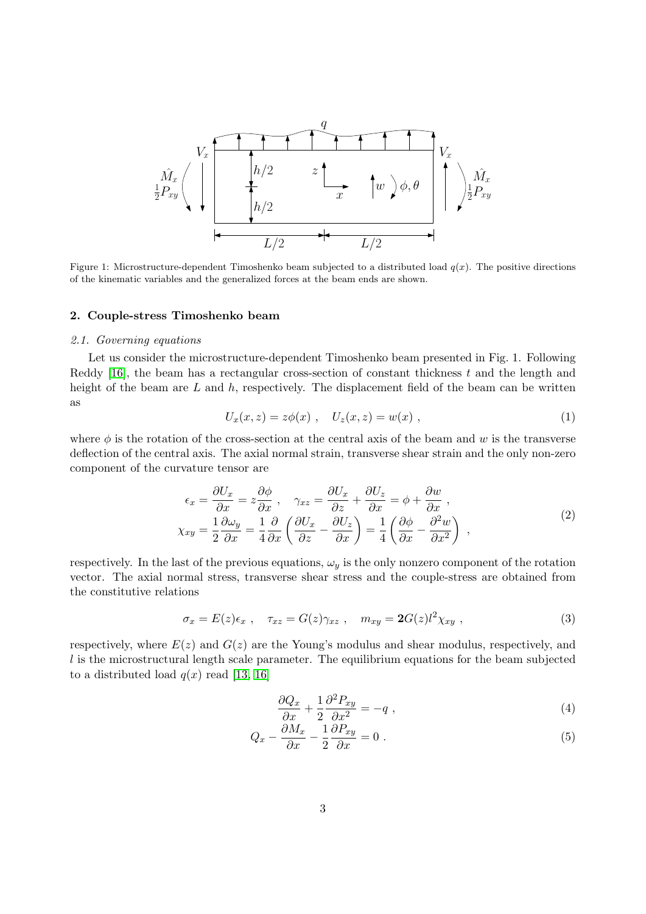

Figure 1: Microstructure-dependent Timoshenko beam subjected to a distributed load  $q(x)$ . The positive directions of the kinematic variables and the generalized forces at the beam ends are shown.

#### 2. Couple-stress Timoshenko beam

## 2.1. Governing equations

Let us consider the microstructure-dependent Timoshenko beam presented in Fig. 1. Following Reddy [\[16\]](#page-15-15), the beam has a rectangular cross-section of constant thickness  $t$  and the length and height of the beam are  $L$  and  $h$ , respectively. The displacement field of the beam can be written as

$$
U_x(x, z) = z\phi(x) , U_z(x, z) = w(x) , \qquad (1)
$$

where  $\phi$  is the rotation of the cross-section at the central axis of the beam and w is the transverse deflection of the central axis. The axial normal strain, transverse shear strain and the only non-zero component of the curvature tensor are

$$
\epsilon_x = \frac{\partial U_x}{\partial x} = z \frac{\partial \phi}{\partial x}, \quad \gamma_{xz} = \frac{\partial U_x}{\partial z} + \frac{\partial U_z}{\partial x} = \phi + \frac{\partial w}{\partial x},
$$
  

$$
\chi_{xy} = \frac{1}{2} \frac{\partial \omega_y}{\partial x} = \frac{1}{4} \frac{\partial}{\partial x} \left( \frac{\partial U_x}{\partial z} - \frac{\partial U_z}{\partial x} \right) = \frac{1}{4} \left( \frac{\partial \phi}{\partial x} - \frac{\partial^2 w}{\partial x^2} \right),
$$
 (2)

respectively. In the last of the previous equations,  $\omega_y$  is the only nonzero component of the rotation vector. The axial normal stress, transverse shear stress and the couple-stress are obtained from the constitutive relations

$$
\sigma_x = E(z)\epsilon_x , \quad \tau_{xz} = G(z)\gamma_{xz} , \quad m_{xy} = 2G(z)l^2\chi_{xy} , \tag{3}
$$

respectively, where  $E(z)$  and  $G(z)$  are the Young's modulus and shear modulus, respectively, and  $l$  is the microstructural length scale parameter. The equilibrium equations for the beam subjected to a distributed load  $q(x)$  read [\[13,](#page-15-12) [16\]](#page-15-15)

$$
\frac{\partial Q_x}{\partial x} + \frac{1}{2} \frac{\partial^2 P_{xy}}{\partial x^2} = -q \tag{4}
$$

$$
Q_x - \frac{\partial M_x}{\partial x} - \frac{1}{2} \frac{\partial P_{xy}}{\partial x} = 0.
$$
\n(5)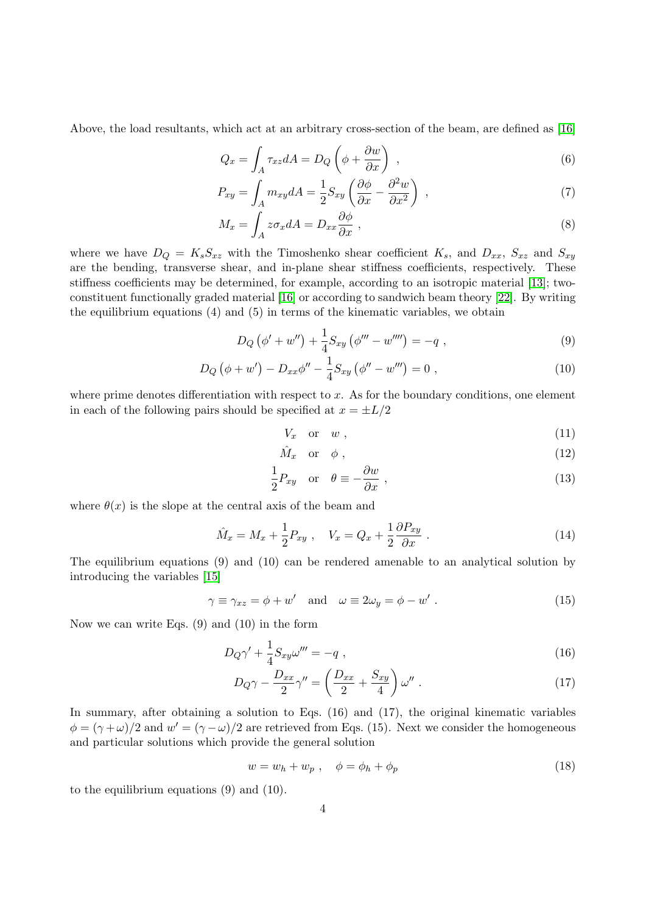Above, the load resultants, which act at an arbitrary cross-section of the beam, are defined as [\[16\]](#page-15-15)

$$
Q_x = \int_A \tau_{xz} dA = D_Q \left( \phi + \frac{\partial w}{\partial x} \right) , \qquad (6)
$$

$$
P_{xy} = \int_{A} m_{xy} dA = \frac{1}{2} S_{xy} \left( \frac{\partial \phi}{\partial x} - \frac{\partial^2 w}{\partial x^2} \right) , \qquad (7)
$$

$$
M_x = \int_A z \sigma_x dA = D_{xx} \frac{\partial \phi}{\partial x} \,, \tag{8}
$$

where we have  $D_Q = K_s S_{xz}$  with the Timoshenko shear coefficient  $K_s$ , and  $D_{xx}$ ,  $S_{xz}$  and  $S_{xy}$ are the bending, transverse shear, and in-plane shear stiffness coefficients, respectively. These stiffness coefficients may be determined, for example, according to an isotropic material [\[13\]](#page-15-12); twoconstituent functionally graded material [\[16\]](#page-15-15) or according to sandwich beam theory [\[22\]](#page-15-21). By writing the equilibrium equations (4) and (5) in terms of the kinematic variables, we obtain

$$
D_Q(\phi' + w'') + \frac{1}{4}S_{xy}(\phi''' - w''') = -q , \qquad (9)
$$

$$
D_Q(\phi + w') - D_{xx}\phi'' - \frac{1}{4}S_{xy}(\phi'' - w''') = 0,
$$
\n(10)

where prime denotes differentiation with respect to  $x$ . As for the boundary conditions, one element in each of the following pairs should be specified at  $x = \pm L/2$ 

$$
V_x \quad \text{or} \quad w \tag{11}
$$

$$
\hat{M}_x \quad \text{or} \quad \phi \tag{12}
$$

$$
\frac{1}{2}P_{xy} \quad \text{or} \quad \theta \equiv -\frac{\partial w}{\partial x} \,, \tag{13}
$$

where  $\theta(x)$  is the slope at the central axis of the beam and

$$
\hat{M}_x = M_x + \frac{1}{2} P_{xy} , \quad V_x = Q_x + \frac{1}{2} \frac{\partial P_{xy}}{\partial x} . \tag{14}
$$

The equilibrium equations (9) and (10) can be rendered amenable to an analytical solution by introducing the variables [\[15\]](#page-15-14)

$$
\gamma \equiv \gamma_{xz} = \phi + w' \quad \text{and} \quad \omega \equiv 2\omega_y = \phi - w' \; . \tag{15}
$$

Now we can write Eqs. (9) and (10) in the form

$$
D_Q \gamma' + \frac{1}{4} S_{xy} \omega''' = -q \;, \tag{16}
$$

$$
D_Q \gamma - \frac{D_{xx}}{2} \gamma'' = \left(\frac{D_{xx}}{2} + \frac{S_{xy}}{4}\right) \omega'' \tag{17}
$$

In summary, after obtaining a solution to Eqs. (16) and (17), the original kinematic variables  $\phi = (\gamma + \omega)/2$  and  $w' = (\gamma - \omega)/2$  are retrieved from Eqs. (15). Next we consider the homogeneous and particular solutions which provide the general solution

$$
w = w_h + w_p \ , \quad \phi = \phi_h + \phi_p \tag{18}
$$

to the equilibrium equations (9) and (10).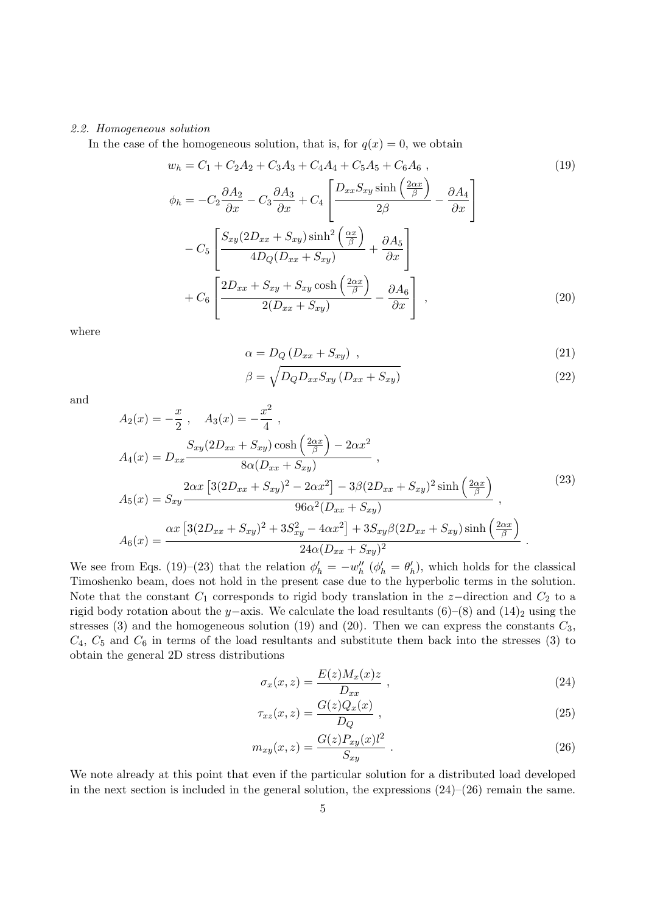### 2.2. Homogeneous solution

In the case of the homogeneous solution, that is, for  $q(x) = 0$ , we obtain

$$
w_h = C_1 + C_2A_2 + C_3A_3 + C_4A_4 + C_5A_5 + C_6A_6,
$$
  
\n
$$
\phi_h = -C_2\frac{\partial A_2}{\partial x} - C_3\frac{\partial A_3}{\partial x} + C_4\left[\frac{D_{xx}S_{xy}\sinh\left(\frac{2\alpha x}{\beta}\right)}{2\beta} - \frac{\partial A_4}{\partial x}\right]
$$
  
\n
$$
-C_5\left[\frac{S_{xy}(2D_{xx} + S_{xy})\sinh^2\left(\frac{\alpha x}{\beta}\right)}{4D_Q(D_{xx} + S_{xy})} + \frac{\partial A_5}{\partial x}\right]
$$
  
\n
$$
+C_6\left[\frac{2D_{xx} + S_{xy} + S_{xy}\cosh\left(\frac{2\alpha x}{\beta}\right)}{2(D_{xx} + S_{xy})} - \frac{\partial A_6}{\partial x}\right],
$$
\n(20)

where

$$
\alpha = D_Q \left( D_{xx} + S_{xy} \right) \tag{21}
$$

$$
\beta = \sqrt{D_Q D_{xx} S_{xy} \left( D_{xx} + S_{xy} \right)} \tag{22}
$$

and

$$
A_2(x) = -\frac{x}{2}, \quad A_3(x) = -\frac{x^2}{4},
$$
  
\n
$$
A_4(x) = D_{xx} \frac{S_{xy}(2D_{xx} + S_{xy}) \cosh(\frac{2\alpha x}{\beta}) - 2\alpha x^2}{8\alpha(D_{xx} + S_{xy})},
$$
  
\n
$$
A_5(x) = S_{xy} \frac{2\alpha x [3(2D_{xx} + S_{xy})^2 - 2\alpha x^2] - 3\beta(2D_{xx} + S_{xy})^2 \sinh(\frac{2\alpha x}{\beta})}{96\alpha^2(D_{xx} + S_{xy})},
$$
  
\n
$$
A_6(x) = \frac{\alpha x [3(2D_{xx} + S_{xy})^2 + 3S_{xy}^2 - 4\alpha x^2] + 3S_{xy}\beta(2D_{xx} + S_{xy}) \sinh(\frac{2\alpha x}{\beta})}{24\alpha(D_{xx} + S_{xy})^2}.
$$
\n(23)

We see from Eqs. (19)–(23) that the relation  $\phi'_h = -w''_h$  ( $\phi'_h = \theta'_h$ ), which holds for the classical Timoshenko beam, does not hold in the present case due to the hyperbolic terms in the solution. Note that the constant  $C_1$  corresponds to rigid body translation in the z-direction and  $C_2$  to a rigid body rotation about the y–axis. We calculate the load resultants  $(6)–(8)$  and  $(14)_2$  using the stresses (3) and the homogeneous solution (19) and (20). Then we can express the constants  $C_3$ ,  $C_4$ ,  $C_5$  and  $C_6$  in terms of the load resultants and substitute them back into the stresses (3) to obtain the general 2D stress distributions

$$
\sigma_x(x, z) = \frac{E(z)M_x(x)z}{D_{xx}} \t{,} \t(24)
$$

$$
\tau_{xz}(x,z) = \frac{G(z)Q_x(x)}{D_Q} \t{,} \t(25)
$$

$$
m_{xy}(x,z) = \frac{G(z)P_{xy}(x)l^2}{S_{xy}}.
$$
\n(26)

We note already at this point that even if the particular solution for a distributed load developed in the next section is included in the general solution, the expressions  $(24)$ – $(26)$  remain the same.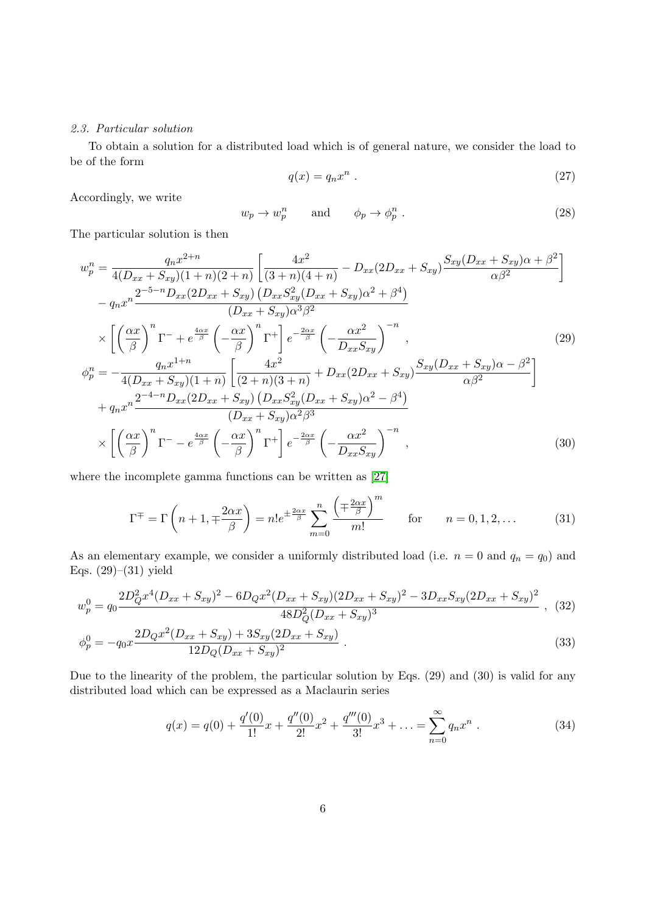## 2.3. Particular solution

To obtain a solution for a distributed load which is of general nature, we consider the load to be of the form

$$
q(x) = q_n x^n \tag{27}
$$

Accordingly, we write

$$
w_p \to w_p^n \qquad \text{and} \qquad \phi_p \to \phi_p^n \ . \tag{28}
$$

The particular solution is then

$$
w_p^n = \frac{q_n x^{2+n}}{4(D_{xx} + S_{xy})(1+n)(2+n)} \left[ \frac{4x^2}{(3+n)(4+n)} - D_{xx}(2D_{xx} + S_{xy}) \frac{S_{xy}(D_{xx} + S_{xy})\alpha + \beta^2}{\alpha\beta^2} \right]
$$
  
\n
$$
-q_n x^n \frac{2^{-5-n} D_{xx}(2D_{xx} + S_{xy}) (D_{xx} S_{xy}^2 (D_{xx} + S_{xy})\alpha^2 + \beta^4)}{(D_{xx} + S_{xy})\alpha^3\beta^2}
$$
  
\n
$$
\times \left[ \left(\frac{\alpha x}{\beta}\right)^n \Gamma^- + e^{\frac{4\alpha x}{\beta}} \left(-\frac{\alpha x}{\beta}\right)^n \Gamma^+ \right] e^{-\frac{2\alpha x}{\beta}} \left(-\frac{\alpha x^2}{D_{xx} S_{xy}}\right)^{-n},
$$
  
\n
$$
\phi_p^n = -\frac{q_n x^{1+n}}{4(D_{xx} + S_{xy})(1+n)} \left[ \frac{4x^2}{(2+n)(3+n)} + D_{xx}(2D_{xx} + S_{xy}) \frac{S_{xy}(D_{xx} + S_{xy})\alpha - \beta^2}{\alpha\beta^2} \right]
$$
  
\n
$$
+ q_n x^n \frac{2^{-4-n} D_{xx}(2D_{xx} + S_{xy}) (D_{xx} S_{xy}^2 (D_{xx} + S_{xy})\alpha^2 - \beta^4)}{(D_{xx} + S_{xy})\alpha^2\beta^3}
$$
  
\n
$$
\times \left[ \left(\frac{\alpha x}{\beta}\right)^n \Gamma^- - e^{\frac{4\alpha x}{\beta}} \left(-\frac{\alpha x}{\beta}\right)^n \Gamma^+ \right] e^{-\frac{2\alpha x}{\beta}} \left(-\frac{\alpha x^2}{D_{xx} S_{xy}}\right)^{-n},
$$
  
\n(30)

where the incomplete gamma functions can be written as [\[27\]](#page-15-26)

$$
\Gamma^{\mp} = \Gamma\left(n+1, \mp \frac{2\alpha x}{\beta}\right) = n!e^{\pm \frac{2\alpha x}{\beta}} \sum_{m=0}^{n} \frac{\left(\mp \frac{2\alpha x}{\beta}\right)^m}{m!} \quad \text{for} \quad n = 0, 1, 2, \dots \tag{31}
$$

As an elementary example, we consider a uniformly distributed load (i.e.  $n = 0$  and  $q_n = q_0$ ) and Eqs. (29)–(31) yield

$$
w_p^0 = q_0 \frac{2D_Q^2 x^4 (D_{xx} + S_{xy})^2 - 6D_Q x^2 (D_{xx} + S_{xy})(2D_{xx} + S_{xy})^2 - 3D_{xx} S_{xy} (2D_{xx} + S_{xy})^2}{48D_Q^2 (D_{xx} + S_{xy})^3},
$$
 (32)

$$
\phi_p^0 = -q_0 x \frac{2D_Q x^2 (D_{xx} + S_{xy}) + 3S_{xy} (2D_{xx} + S_{xy})}{12D_Q (D_{xx} + S_{xy})^2} \,. \tag{33}
$$

Due to the linearity of the problem, the particular solution by Eqs. (29) and (30) is valid for any distributed load which can be expressed as a Maclaurin series

$$
q(x) = q(0) + \frac{q'(0)}{1!}x + \frac{q''(0)}{2!}x^2 + \frac{q'''(0)}{3!}x^3 + \dots = \sum_{n=0}^{\infty} q_n x^n
$$
 (34)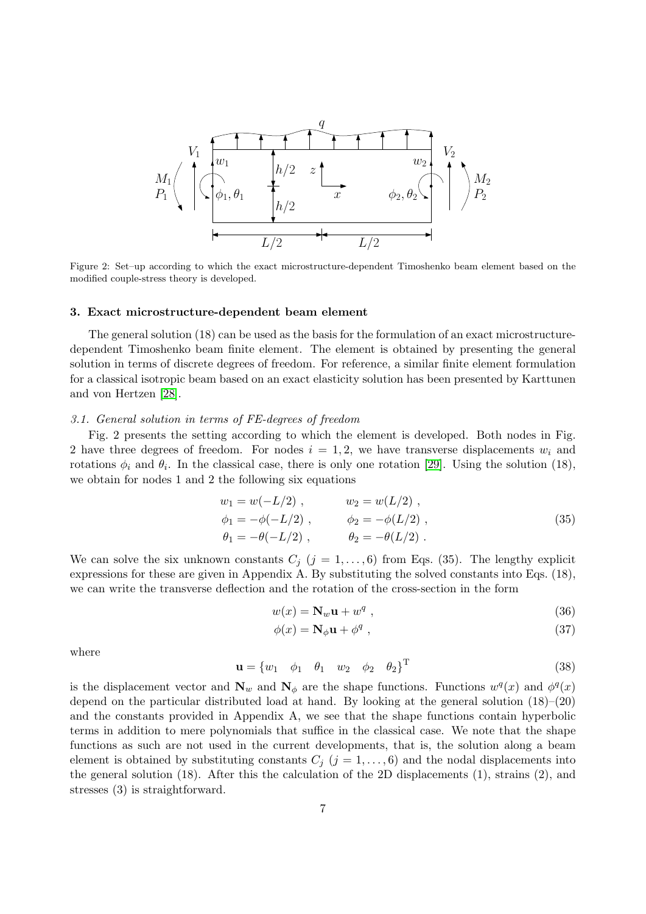

Figure 2: Set–up according to which the exact microstructure-dependent Timoshenko beam element based on the modified couple-stress theory is developed.

#### 3. Exact microstructure-dependent beam element

The general solution (18) can be used as the basis for the formulation of an exact microstructuredependent Timoshenko beam finite element. The element is obtained by presenting the general solution in terms of discrete degrees of freedom. For reference, a similar finite element formulation for a classical isotropic beam based on an exact elasticity solution has been presented by Karttunen and von Hertzen [\[28\]](#page-16-0).

#### 3.1. General solution in terms of FE-degrees of freedom

Fig. 2 presents the setting according to which the element is developed. Both nodes in Fig. 2 have three degrees of freedom. For nodes  $i = 1, 2$ , we have transverse displacements  $w_i$  and rotations  $\phi_i$  and  $\theta_i$ . In the classical case, there is only one rotation [\[29\]](#page-16-1). Using the solution (18), we obtain for nodes 1 and 2 the following six equations

$$
w_1 = w(-L/2) , \t w_2 = w(L/2) ,
$$
  
\n
$$
\phi_1 = -\phi(-L/2) , \t \phi_2 = -\phi(L/2) ,
$$
  
\n
$$
\theta_1 = -\theta(-L/2) , \t \theta_2 = -\theta(L/2) .
$$
\n(35)

We can solve the six unknown constants  $C_j$   $(j = 1, \ldots, 6)$  from Eqs. (35). The lengthy explicit expressions for these are given in Appendix A. By substituting the solved constants into Eqs. (18), we can write the transverse deflection and the rotation of the cross-section in the form

$$
w(x) = \mathbf{N}_w \mathbf{u} + w^q \t{36}
$$

$$
\phi(x) = \mathbf{N}_{\phi}\mathbf{u} + \phi^q \tag{37}
$$

where

$$
\mathbf{u} = \begin{bmatrix} w_1 & \phi_1 & \theta_1 & w_2 & \phi_2 & \theta_2 \end{bmatrix}^T
$$
 (38)

is the displacement vector and  $N_w$  and  $N_\phi$  are the shape functions. Functions  $w^q(x)$  and  $\phi^q(x)$ depend on the particular distributed load at hand. By looking at the general solution  $(18)$ – $(20)$ and the constants provided in Appendix A, we see that the shape functions contain hyperbolic terms in addition to mere polynomials that suffice in the classical case. We note that the shape functions as such are not used in the current developments, that is, the solution along a beam element is obtained by substituting constants  $C_j$   $(j = 1, \ldots, 6)$  and the nodal displacements into the general solution (18). After this the calculation of the 2D displacements (1), strains (2), and stresses (3) is straightforward.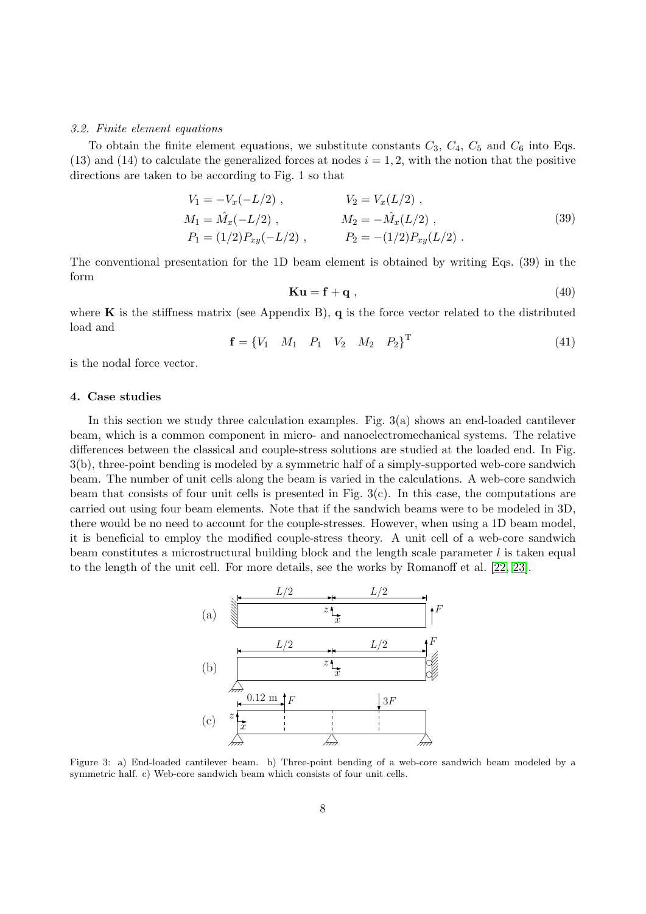#### 3.2. Finite element equations

To obtain the finite element equations, we substitute constants  $C_3$ ,  $C_4$ ,  $C_5$  and  $C_6$  into Eqs. (13) and (14) to calculate the generalized forces at nodes  $i = 1, 2$ , with the notion that the positive directions are taken to be according to Fig. 1 so that

$$
V_1 = -V_x(-L/2) , \t V_2 = V_x(L/2) ,
$$
  
\n
$$
M_1 = \hat{M}_x(-L/2) , \t M_2 = -\hat{M}_x(L/2) ,
$$
  
\n
$$
P_1 = (1/2)P_{xy}(-L/2) , \t P_2 = -(1/2)P_{xy}(L/2) .
$$
\n(39)

The conventional presentation for the 1D beam element is obtained by writing Eqs. (39) in the form

$$
\mathbf{Ku} = \mathbf{f} + \mathbf{q} \tag{40}
$$

where **K** is the stiffness matrix (see Appendix B),  $q$  is the force vector related to the distributed load and

$$
\mathbf{f} = \begin{bmatrix} V_1 & M_1 & P_1 & V_2 & M_2 & P_2 \end{bmatrix}^{\mathrm{T}}
$$
 (41)

is the nodal force vector.

## 4. Case studies

In this section we study three calculation examples. Fig.  $3(a)$  shows an end-loaded cantilever beam, which is a common component in micro- and nanoelectromechanical systems. The relative differences between the classical and couple-stress solutions are studied at the loaded end. In Fig. 3(b), three-point bending is modeled by a symmetric half of a simply-supported web-core sandwich beam. The number of unit cells along the beam is varied in the calculations. A web-core sandwich beam that consists of four unit cells is presented in Fig.  $3(c)$ . In this case, the computations are carried out using four beam elements. Note that if the sandwich beams were to be modeled in 3D, there would be no need to account for the couple-stresses. However, when using a 1D beam model, it is beneficial to employ the modified couple-stress theory. A unit cell of a web-core sandwich beam constitutes a microstructural building block and the length scale parameter  $l$  is taken equal to the length of the unit cell. For more details, see the works by Romanoff et al. [\[22,](#page-15-21) [23\]](#page-15-22).



Figure 3: a) End-loaded cantilever beam. b) Three-point bending of a web-core sandwich beam modeled by a symmetric half. c) Web-core sandwich beam which consists of four unit cells.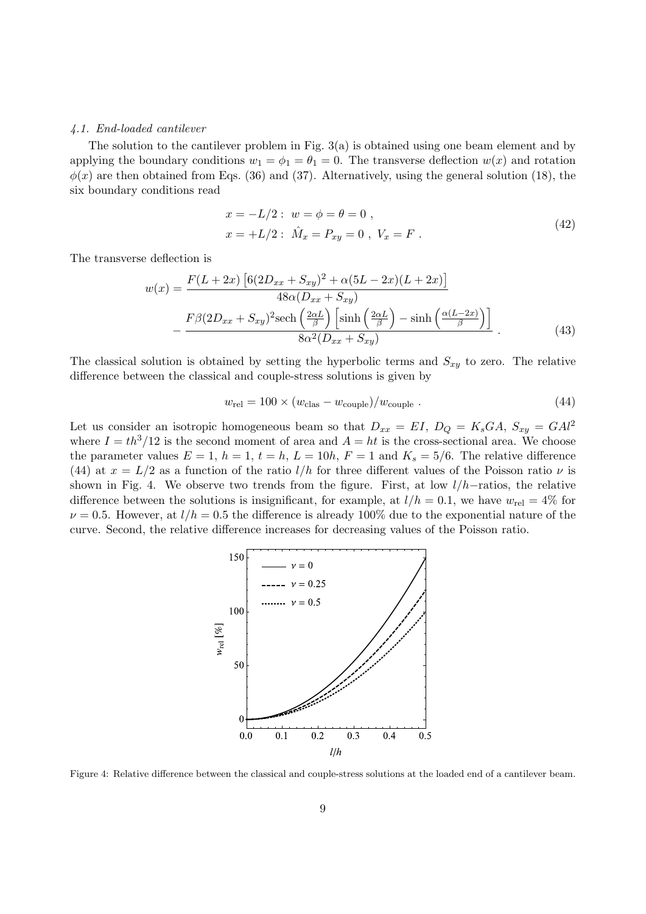#### 4.1. End-loaded cantilever

The solution to the cantilever problem in Fig. 3(a) is obtained using one beam element and by applying the boundary conditions  $w_1 = \phi_1 = \theta_1 = 0$ . The transverse deflection  $w(x)$  and rotation  $\phi(x)$  are then obtained from Eqs. (36) and (37). Alternatively, using the general solution (18), the six boundary conditions read

$$
x = -L/2: w = \phi = \theta = 0,
$$
  
\n
$$
x = +L/2: \hat{M}_x = P_{xy} = 0, V_x = F.
$$
\n(42)

The transverse deflection is

$$
w(x) = \frac{F(L+2x)\left[6(2D_{xx} + S_{xy})^2 + \alpha(5L - 2x)(L + 2x)\right]}{48\alpha(D_{xx} + S_{xy})}
$$

$$
-\frac{F\beta(2D_{xx} + S_{xy})^2 \text{sech}\left(\frac{2\alpha L}{\beta}\right)\left[\sinh\left(\frac{2\alpha L}{\beta}\right) - \sinh\left(\frac{\alpha(L - 2x)}{\beta}\right)\right]}{8\alpha^2(D_{xx} + S_{xy})}.
$$
(43)

The classical solution is obtained by setting the hyperbolic terms and  $S_{xy}$  to zero. The relative difference between the classical and couple-stress solutions is given by

$$
w_{\rm rel} = 100 \times (w_{\rm clas} - w_{\rm couple})/w_{\rm couple} \tag{44}
$$

Let us consider an isotropic homogeneous beam so that  $D_{xx} = EI$ ,  $D_Q = K_sGA$ ,  $S_{xy} = GAl^2$ where  $I = th^3/12$  is the second moment of area and  $A = ht$  is the cross-sectional area. We choose the parameter values  $E = 1$ ,  $h = 1$ ,  $t = h$ ,  $L = 10h$ ,  $F = 1$  and  $K_s = 5/6$ . The relative difference (44) at  $x = L/2$  as a function of the ratio  $l/h$  for three different values of the Poisson ratio  $\nu$  is shown in Fig. 4. We observe two trends from the figure. First, at low l/h−ratios, the relative difference between the solutions is insignificant, for example, at  $l/h = 0.1$ , we have  $w_{rel} = 4\%$  for  $\nu = 0.5$ . However, at  $l/h = 0.5$  the difference is already 100% due to the exponential nature of the curve. Second, the relative difference increases for decreasing values of the Poisson ratio.



Figure 4: Relative difference between the classical and couple-stress solutions at the loaded end of a cantilever beam.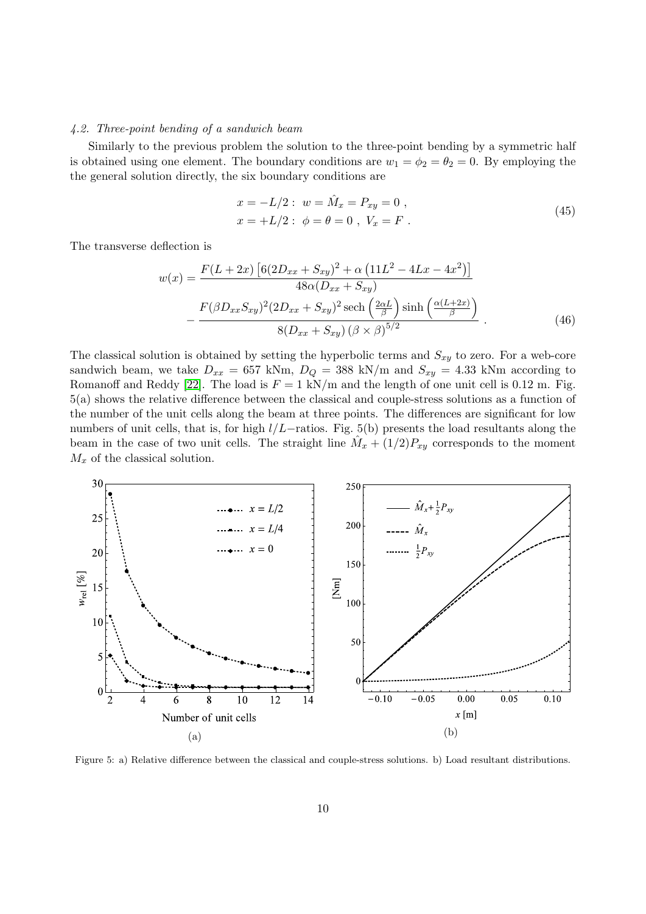### 4.2. Three-point bending of a sandwich beam

Similarly to the previous problem the solution to the three-point bending by a symmetric half is obtained using one element. The boundary conditions are  $w_1 = \phi_2 = \theta_2 = 0$ . By employing the the general solution directly, the six boundary conditions are

$$
x = -L/2: w = \hat{M}_x = P_{xy} = 0,
$$
  
\n
$$
x = +L/2: \phi = \theta = 0, V_x = F.
$$
\n(45)

The transverse deflection is

$$
w(x) = \frac{F(L+2x) \left[6(2D_{xx} + S_{xy})^2 + \alpha \left(11L^2 - 4Lx - 4x^2\right)\right]}{48\alpha (D_{xx} + S_{xy})}
$$

$$
-\frac{F(\beta D_{xx}S_{xy})^2 (2D_{xx} + S_{xy})^2 \text{sech}\left(\frac{2\alpha L}{\beta}\right) \sinh\left(\frac{\alpha (L+2x)}{\beta}\right)}{8(D_{xx} + S_{xy})\left(\beta \times \beta\right)^{5/2}}.
$$
(46)

The classical solution is obtained by setting the hyperbolic terms and  $S_{xy}$  to zero. For a web-core sandwich beam, we take  $D_{xx} = 657$  kNm,  $D_Q = 388$  kN/m and  $S_{xy} = 4.33$  kNm according to Romanoff and Reddy [\[22\]](#page-15-21). The load is  $F = 1 \text{ kN/m}$  and the length of one unit cell is 0.12 m. Fig. 5(a) shows the relative difference between the classical and couple-stress solutions as a function of the number of the unit cells along the beam at three points. The differences are significant for low numbers of unit cells, that is, for high  $l/L$ -ratios. Fig. 5(b) presents the load resultants along the beam in the case of two unit cells. The straight line  $\hat{M}_x + (1/2)P_{xy}$  corresponds to the moment  $M_x$  of the classical solution.



Figure 5: a) Relative difference between the classical and couple-stress solutions. b) Load resultant distributions.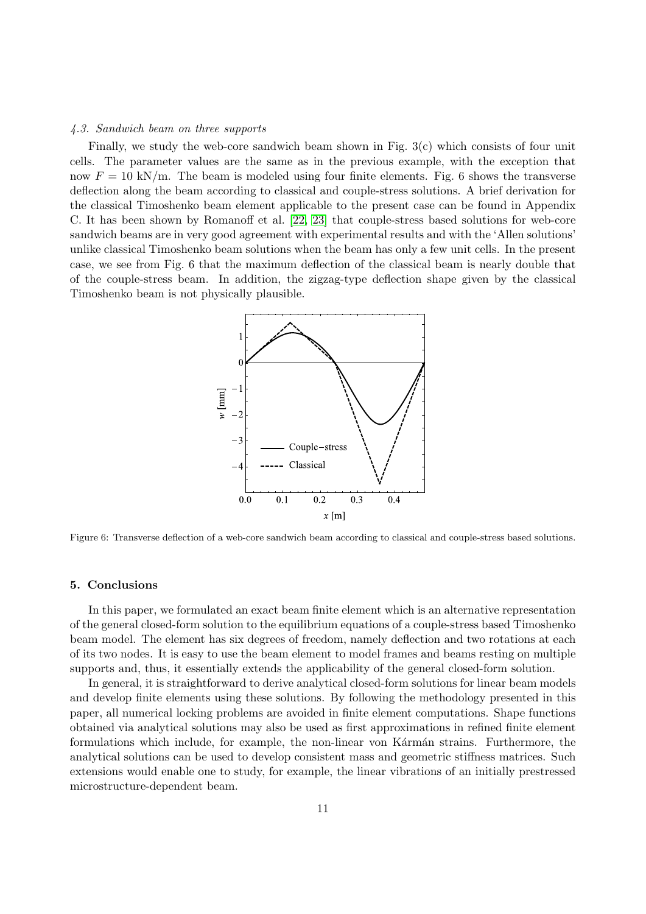#### 4.3. Sandwich beam on three supports

Finally, we study the web-core sandwich beam shown in Fig. 3(c) which consists of four unit cells. The parameter values are the same as in the previous example, with the exception that now  $F = 10 \text{ kN/m}$ . The beam is modeled using four finite elements. Fig. 6 shows the transverse deflection along the beam according to classical and couple-stress solutions. A brief derivation for the classical Timoshenko beam element applicable to the present case can be found in Appendix C. It has been shown by Romanoff et al. [\[22,](#page-15-21) [23\]](#page-15-22) that couple-stress based solutions for web-core sandwich beams are in very good agreement with experimental results and with the 'Allen solutions' unlike classical Timoshenko beam solutions when the beam has only a few unit cells. In the present case, we see from Fig. 6 that the maximum deflection of the classical beam is nearly double that of the couple-stress beam. In addition, the zigzag-type deflection shape given by the classical Timoshenko beam is not physically plausible.



Figure 6: Transverse deflection of a web-core sandwich beam according to classical and couple-stress based solutions.

### 5. Conclusions

In this paper, we formulated an exact beam finite element which is an alternative representation of the general closed-form solution to the equilibrium equations of a couple-stress based Timoshenko beam model. The element has six degrees of freedom, namely deflection and two rotations at each of its two nodes. It is easy to use the beam element to model frames and beams resting on multiple supports and, thus, it essentially extends the applicability of the general closed-form solution.

In general, it is straightforward to derive analytical closed-form solutions for linear beam models and develop finite elements using these solutions. By following the methodology presented in this paper, all numerical locking problems are avoided in finite element computations. Shape functions obtained via analytical solutions may also be used as first approximations in refined finite element formulations which include, for example, the non-linear von Kármán strains. Furthermore, the analytical solutions can be used to develop consistent mass and geometric stiffness matrices. Such extensions would enable one to study, for example, the linear vibrations of an initially prestressed microstructure-dependent beam.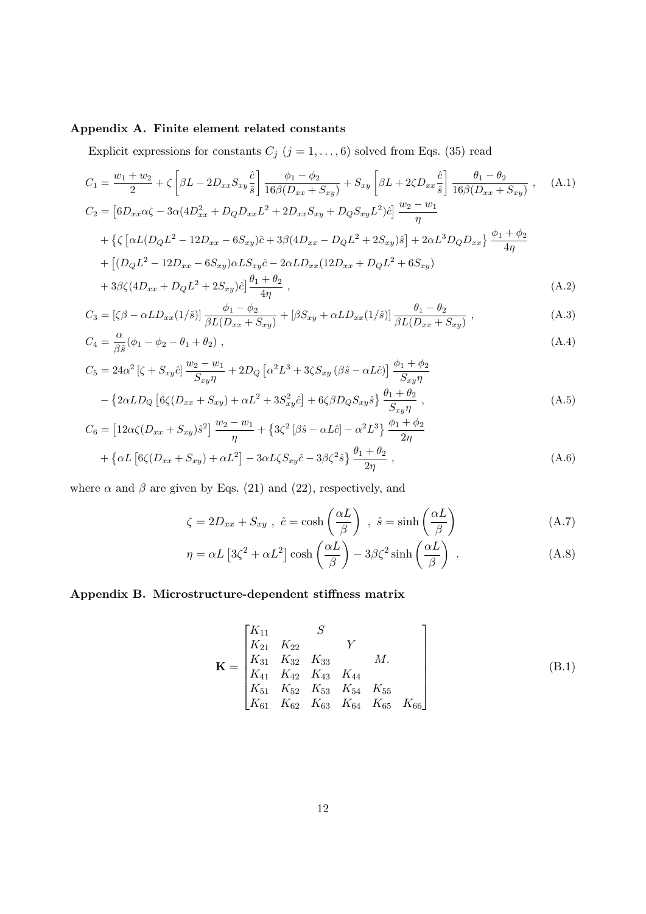# Appendix A. Finite element related constants

Explicit expressions for constants  $C_j$   $(j = 1, \ldots, 6)$  solved from Eqs. (35) read

$$
C_{1} = \frac{w_{1} + w_{2}}{2} + \zeta \left[ \beta L - 2D_{xx}S_{xy} \frac{\hat{c}}{\hat{s}} \right] \frac{\phi_{1} - \phi_{2}}{16\beta (D_{xx} + S_{xy})} + S_{xy} \left[ \beta L + 2\zeta D_{xx} \frac{\hat{c}}{\hat{s}} \right] \frac{\theta_{1} - \theta_{2}}{16\beta (D_{xx} + S_{xy})}, \quad (A.1)
$$
  
\n
$$
C_{2} = \left[ 6D_{xx}\alpha\zeta - 3\alpha(4D_{xx}^{2} + D_{Q}D_{xx}L^{2} + 2D_{xx}S_{xy} + D_{Q}S_{xy}L^{2})\hat{c} \right] \frac{w_{2} - w_{1}}{\eta}
$$
  
\n
$$
+ \left\{ \zeta \left[ \alpha L(D_{Q}L^{2} - 12D_{xx} - 6S_{xy})\hat{c} + 3\beta(4D_{xx} - D_{Q}L^{2} + 2S_{xy})\hat{s} \right] + 2\alpha L^{3}D_{Q}D_{xx} \right\} \frac{\phi_{1} + \phi_{2}}{4\eta}
$$
  
\n
$$
+ \left[ (D_{Q}L^{2} - 12D_{xx} - 6S_{xy})\alpha L S_{xy}\hat{c} - 2\alpha L D_{xx}(12D_{xx} + D_{Q}L^{2} + 6S_{xy}) \right]
$$

+ 3βζ(4Dxx + DQL <sup>2</sup> + 2Sxy)ˆc <sup>θ</sup><sup>1</sup> <sup>+</sup> <sup>θ</sup><sup>2</sup> 4η , (A.2)

$$
C_3 = \left[\zeta \beta - \alpha L D_{xx}(1/\hat{s})\right] \frac{\phi_1 - \phi_2}{\beta L(D_{xx} + S_{xy})} + \left[\beta S_{xy} + \alpha L D_{xx}(1/\hat{s})\right] \frac{\theta_1 - \theta_2}{\beta L(D_{xx} + S_{xy})},\tag{A.3}
$$

$$
C_4 = \frac{\alpha}{\beta \hat{s}} (\phi_1 - \phi_2 - \theta_1 + \theta_2) , \qquad (A.4)
$$

$$
C_5 = 24\alpha^2 \left[ \zeta + S_{xy} \hat{c} \right] \frac{w_2 - w_1}{S_{xy}\eta} + 2D_Q \left[ \alpha^2 L^3 + 3\zeta S_{xy} \left( \beta \hat{s} - \alpha L \hat{c} \right) \right] \frac{\phi_1 + \phi_2}{S_{xy}\eta} - \left\{ 2\alpha L D_Q \left[ 6\zeta (D_{xx} + S_{xy}) + \alpha L^2 + 3S_{xy}^2 \hat{c} \right] + 6\zeta \beta D_Q S_{xy} \hat{s} \right\} \frac{\theta_1 + \theta_2}{S_{xy}\eta} ,
$$
(A.5)

$$
C_6 = [12\alpha\zeta(D_{xx} + S_{xy})\hat{s}^2] \frac{w_2 - w_1}{\eta} + \{3\zeta^2[\beta\hat{s} - \alpha L\hat{c}] - \alpha^2 L^3\} \frac{\phi_1 + \phi_2}{2\eta} + \{\alpha L[\6z(D_{xx} + S_{xy}) + \alpha L^2] - 3\alpha L\zeta S_{xy}\hat{c} - 3\beta\zeta^2\hat{s}\} \frac{\theta_1 + \theta_2}{2\eta},
$$
\n(A.6)

where  $\alpha$  and  $\beta$  are given by Eqs. (21) and (22), respectively, and

$$
\zeta = 2D_{xx} + S_{xy} , \ \hat{c} = \cosh\left(\frac{\alpha L}{\beta}\right) , \ \hat{s} = \sinh\left(\frac{\alpha L}{\beta}\right) \tag{A.7}
$$

$$
\eta = \alpha L \left[ 3\zeta^2 + \alpha L^2 \right] \cosh\left(\frac{\alpha L}{\beta}\right) - 3\beta \zeta^2 \sinh\left(\frac{\alpha L}{\beta}\right) \,. \tag{A.8}
$$

# Appendix B. Microstructure-dependent stiffness matrix

$$
\mathbf{K} = \begin{bmatrix} K_{11} & S \\ K_{21} & K_{22} & Y \\ K_{31} & K_{32} & K_{33} & M. \\ K_{41} & K_{42} & K_{43} & K_{44} \\ K_{51} & K_{52} & K_{53} & K_{54} & K_{55} \\ K_{61} & K_{62} & K_{63} & K_{64} & K_{65} & K_{66} \end{bmatrix} \tag{B.1}
$$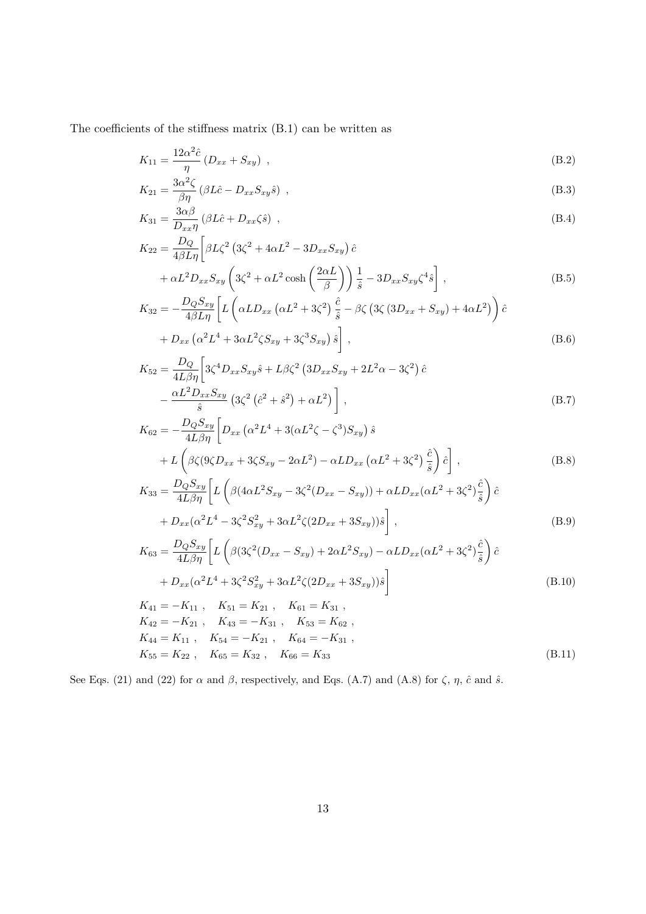The coefficients of the stiffness matrix (B.1) can be written as

$$
K_{11} = \frac{12\alpha^2 \hat{c}}{\eta} \left( D_{xx} + S_{xy} \right) , \tag{B.2}
$$

$$
K_{21} = \frac{3\alpha^2 \zeta}{\beta \eta} \left( \beta L \hat{c} - D_{xx} S_{xy} \hat{s} \right) , \tag{B.3}
$$

$$
K_{31} = \frac{3\alpha\beta}{D_{xx}\eta} \left(\beta L\hat{c} + D_{xx}\zeta\hat{s}\right) ,\tag{B.4}
$$

$$
K_{22} = \frac{D_Q}{4\beta L \eta} \left[ \beta L \zeta^2 \left( 3\zeta^2 + 4\alpha L^2 - 3D_{xx} S_{xy} \right) \hat{c} \right. + \alpha L^2 D_{xx} S_{xy} \left( 3\zeta^2 + \alpha L^2 \cosh\left(\frac{2\alpha L}{\beta}\right) \right) \frac{1}{\hat{s}} - 3D_{xx} S_{xy} \zeta^4 \hat{s} \right],
$$
(B.5)

$$
K_{32} = -\frac{D_Q S_{xy}}{4\beta L \eta} \left[ L \left( \alpha L D_{xx} \left( \alpha L^2 + 3\zeta^2 \right) \frac{\hat{c}}{\hat{s}} - \beta \zeta \left( 3\zeta \left( 3D_{xx} + S_{xy} \right) + 4\alpha L^2 \right) \right) \hat{c} \right.
$$
  
+ 
$$
D_{xx} \left( \alpha^2 L^4 + 3\alpha L^2 \zeta S_{xy} + 3\zeta^3 S_{xy} \right) \hat{s} \right],
$$
 (B.6)

$$
K_{52} = \frac{D_Q}{4L\beta\eta} \left[ 3\zeta^4 D_{xx} S_{xy} \hat{s} + L\beta \zeta^2 \left( 3D_{xx} S_{xy} + 2L^2 \alpha - 3\zeta^2 \right) \hat{c} \right]
$$

$$
- \frac{\alpha L^2 D_{xx} S_{xy}}{\hat{s}} \left( 3\zeta^2 \left( \hat{c}^2 + \hat{s}^2 \right) + \alpha L^2 \right) \right],
$$
(B.7)

$$
K_{62} = -\frac{D_Q S_{xy}}{4L\beta \eta} \left[ D_{xx} \left( \alpha^2 L^4 + 3(\alpha L^2 \zeta - \zeta^3) S_{xy} \right) \hat{s} \right. \\
\left. + L \left( \beta \zeta (9\zeta D_{xx} + 3\zeta S_{xy} - 2\alpha L^2) - \alpha L D_{xx} \left( \alpha L^2 + 3\zeta^2 \right) \frac{\hat{c}}{\hat{s}} \right) \hat{c} \right],
$$
\n(B.8)

$$
K_{33} = \frac{D_Q S_{xy}}{4L\beta\eta} \left[ L \left( \beta (4\alpha L^2 S_{xy} - 3\zeta^2 (D_{xx} - S_{xy})) + \alpha L D_{xx} (\alpha L^2 + 3\zeta^2) \frac{\hat{c}}{\hat{s}} \right) \hat{c} \right. + D_{xx} (\alpha^2 L^4 - 3\zeta^2 S_{xy}^2 + 3\alpha L^2 \zeta (2D_{xx} + 3S_{xy})) \hat{s} \right],
$$
 (B.9)

$$
K_{63} = \frac{D_Q S_{xy}}{4L\beta \eta} \left[ L \left( \beta (3\zeta^2 (D_{xx} - S_{xy}) + 2\alpha L^2 S_{xy}) - \alpha L D_{xx} (\alpha L^2 + 3\zeta^2) \frac{\hat{c}}{\hat{s}} \right) \hat{c} \right. + D_{xx} (\alpha^2 L^4 + 3\zeta^2 S_{xy}^2 + 3\alpha L^2 \zeta (2D_{xx} + 3S_{xy})) \hat{s} \right]
$$
(B.10)

$$
K_{41} = -K_{11} , K_{51} = K_{21} , K_{61} = K_{31} ,
$$
  
\n
$$
K_{42} = -K_{21} , K_{43} = -K_{31} , K_{53} = K_{62} ,
$$
  
\n
$$
K_{44} = K_{11} , K_{54} = -K_{21} , K_{64} = -K_{31} ,
$$
  
\n
$$
K_{55} = K_{22} , K_{65} = K_{32} , K_{66} = K_{33}
$$
\n(B.11)

See Eqs. (21) and (22) for  $\alpha$  and  $\beta$ , respectively, and Eqs. (A.7) and (A.8) for  $\zeta$ ,  $\eta$ ,  $\hat{c}$  and  $\hat{s}$ .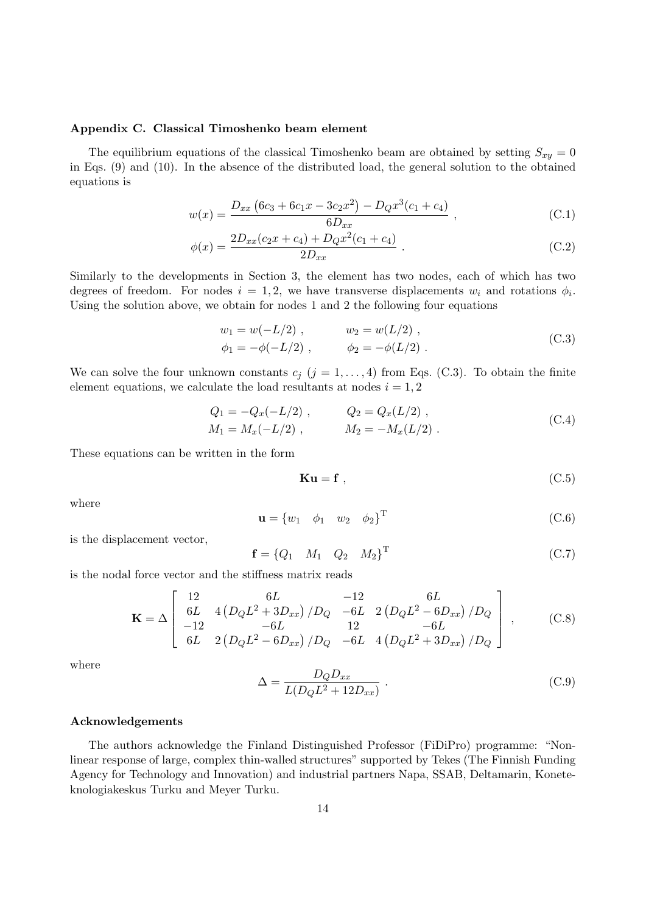### Appendix C. Classical Timoshenko beam element

The equilibrium equations of the classical Timoshenko beam are obtained by setting  $S_{xy} = 0$ in Eqs. (9) and (10). In the absence of the distributed load, the general solution to the obtained equations is

$$
w(x) = \frac{D_{xx} (6c_3 + 6c_1x - 3c_2x^2) - D_Q x^3 (c_1 + c_4)}{6D_{xx}},
$$
\n(C.1)

$$
\phi(x) = \frac{2D_{xx}(c_2x + c_4) + D_Q x^2 (c_1 + c_4)}{2D_{xx}}.
$$
\n(C.2)

Similarly to the developments in Section 3, the element has two nodes, each of which has two degrees of freedom. For nodes  $i = 1, 2$ , we have transverse displacements  $w_i$  and rotations  $\phi_i$ . Using the solution above, we obtain for nodes 1 and 2 the following four equations

$$
w_1 = w(-L/2) , \t w_2 = w(L/2) ,
$$
  
\n
$$
\phi_1 = -\phi(-L/2) , \t \phi_2 = -\phi(L/2) .
$$
\t(C.3)

We can solve the four unknown constants  $c_j$   $(j = 1, ..., 4)$  from Eqs. (C.3). To obtain the finite element equations, we calculate the load resultants at nodes  $i = 1, 2$ 

$$
Q_1 = -Q_x(-L/2) , \t Q_2 = Q_x(L/2) ,
$$
  
\n
$$
M_1 = M_x(-L/2) , \t M_2 = -M_x(L/2) .
$$
\n(C.4)

These equations can be written in the form

$$
\mathbf{Ku} = \mathbf{f} \tag{C.5}
$$

where

$$
\mathbf{u} = \begin{bmatrix} w_1 & \phi_1 & w_2 & \phi_2 \end{bmatrix}^\mathrm{T} \tag{C.6}
$$

is the displacement vector,

$$
\mathbf{f} = \begin{bmatrix} Q_1 & M_1 & Q_2 & M_2 \end{bmatrix}^\mathrm{T} \tag{C.7}
$$

is the nodal force vector and the stiffness matrix reads

$$
\mathbf{K} = \Delta \begin{bmatrix} 12 & 6L & -12 & 6L \\ 6L & 4\left(D_Q L^2 + 3D_{xx}\right) / D_Q & -6L & 2\left(D_Q L^2 - 6D_{xx}\right) / D_Q \\ -12 & -6L & 12 & -6L \\ 6L & 2\left(D_Q L^2 - 6D_{xx}\right) / D_Q & -6L & 4\left(D_Q L^2 + 3D_{xx}\right) / D_Q \end{bmatrix}, \tag{C.8}
$$

where

$$
\Delta = \frac{D_Q D_{xx}}{L(D_Q L^2 + 12 D_{xx})} \,. \tag{C.9}
$$

#### Acknowledgements

The authors acknowledge the Finland Distinguished Professor (FiDiPro) programme: "Nonlinear response of large, complex thin-walled structures" supported by Tekes (The Finnish Funding Agency for Technology and Innovation) and industrial partners Napa, SSAB, Deltamarin, Koneteknologiakeskus Turku and Meyer Turku.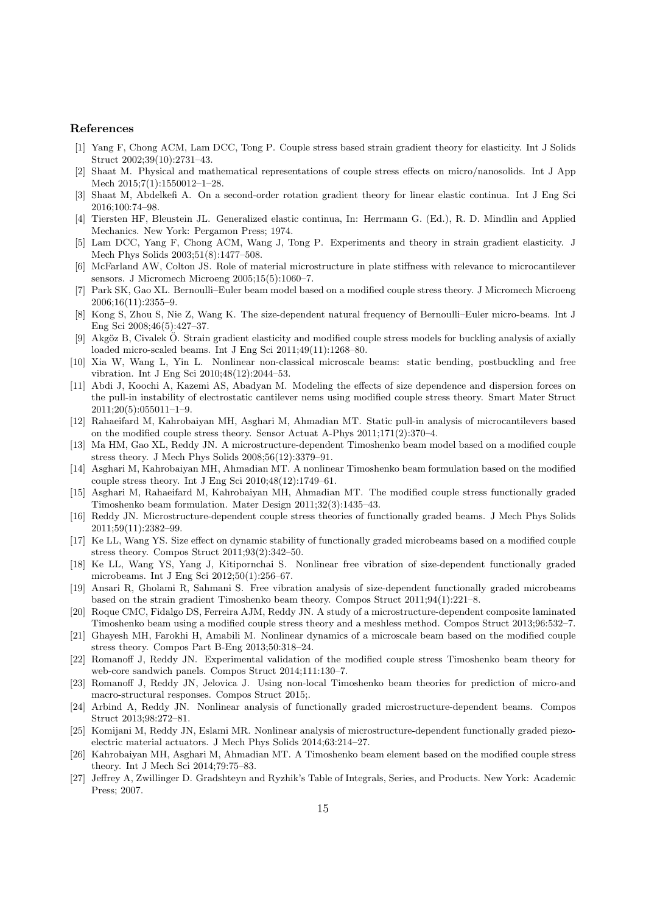# References

- <span id="page-15-0"></span>[1] Yang F, Chong ACM, Lam DCC, Tong P. Couple stress based strain gradient theory for elasticity. Int J Solids Struct 2002;39(10):2731–43.
- <span id="page-15-1"></span>[2] Shaat M. Physical and mathematical representations of couple stress effects on micro/nanosolids. Int J App Mech 2015;7(1):1550012–1–28.
- <span id="page-15-2"></span>[3] Shaat M, Abdelkefi A. On a second-order rotation gradient theory for linear elastic continua. Int J Eng Sci 2016;100:74–98.
- <span id="page-15-3"></span>[4] Tiersten HF, Bleustein JL. Generalized elastic continua, In: Herrmann G. (Ed.), R. D. Mindlin and Applied Mechanics. New York: Pergamon Press; 1974.
- <span id="page-15-4"></span>[5] Lam DCC, Yang F, Chong ACM, Wang J, Tong P. Experiments and theory in strain gradient elasticity. J Mech Phys Solids 2003;51(8):1477–508.
- <span id="page-15-5"></span>[6] McFarland AW, Colton JS. Role of material microstructure in plate stiffness with relevance to microcantilever sensors. J Micromech Microeng 2005;15(5):1060–7.
- <span id="page-15-6"></span>[7] Park SK, Gao XL. Bernoulli–Euler beam model based on a modified couple stress theory. J Micromech Microeng 2006;16(11):2355–9.
- <span id="page-15-7"></span>[8] Kong S, Zhou S, Nie Z, Wang K. The size-dependent natural frequency of Bernoulli–Euler micro-beams. Int J Eng Sci 2008;46(5):427–37.
- <span id="page-15-8"></span>[9] Akgöz B, Civalek Ö. Strain gradient elasticity and modified couple stress models for buckling analysis of axially loaded micro-scaled beams. Int J Eng Sci 2011;49(11):1268–80.
- <span id="page-15-9"></span>[10] Xia W, Wang L, Yin L. Nonlinear non-classical microscale beams: static bending, postbuckling and free vibration. Int J Eng Sci 2010;48(12):2044–53.
- <span id="page-15-10"></span>[11] Abdi J, Koochi A, Kazemi AS, Abadyan M. Modeling the effects of size dependence and dispersion forces on the pull-in instability of electrostatic cantilever nems using modified couple stress theory. Smart Mater Struct 2011;20(5):055011–1–9.
- <span id="page-15-11"></span>[12] Rahaeifard M, Kahrobaiyan MH, Asghari M, Ahmadian MT. Static pull-in analysis of microcantilevers based on the modified couple stress theory. Sensor Actuat A-Phys 2011;171(2):370–4.
- <span id="page-15-12"></span>[13] Ma HM, Gao XL, Reddy JN. A microstructure-dependent Timoshenko beam model based on a modified couple stress theory. J Mech Phys Solids 2008;56(12):3379–91.
- <span id="page-15-13"></span>[14] Asghari M, Kahrobaiyan MH, Ahmadian MT. A nonlinear Timoshenko beam formulation based on the modified couple stress theory. Int J Eng Sci 2010;48(12):1749–61.
- <span id="page-15-14"></span>[15] Asghari M, Rahaeifard M, Kahrobaiyan MH, Ahmadian MT. The modified couple stress functionally graded Timoshenko beam formulation. Mater Design 2011;32(3):1435–43.
- <span id="page-15-15"></span>[16] Reddy JN. Microstructure-dependent couple stress theories of functionally graded beams. J Mech Phys Solids 2011;59(11):2382–99.
- <span id="page-15-16"></span>[17] Ke LL, Wang YS. Size effect on dynamic stability of functionally graded microbeams based on a modified couple stress theory. Compos Struct 2011;93(2):342–50.
- <span id="page-15-17"></span>[18] Ke LL, Wang YS, Yang J, Kitipornchai S. Nonlinear free vibration of size-dependent functionally graded microbeams. Int J Eng Sci 2012;50(1):256–67.
- <span id="page-15-18"></span>[19] Ansari R, Gholami R, Sahmani S. Free vibration analysis of size-dependent functionally graded microbeams based on the strain gradient Timoshenko beam theory. Compos Struct 2011;94(1):221–8.
- <span id="page-15-19"></span>[20] Roque CMC, Fidalgo DS, Ferreira AJM, Reddy JN. A study of a microstructure-dependent composite laminated Timoshenko beam using a modified couple stress theory and a meshless method. Compos Struct 2013;96:532–7.
- <span id="page-15-20"></span>[21] Ghayesh MH, Farokhi H, Amabili M. Nonlinear dynamics of a microscale beam based on the modified couple stress theory. Compos Part B-Eng 2013;50:318–24.
- <span id="page-15-21"></span>[22] Romanoff J, Reddy JN. Experimental validation of the modified couple stress Timoshenko beam theory for web-core sandwich panels. Compos Struct 2014;111:130–7.
- <span id="page-15-22"></span>[23] Romanoff J, Reddy JN, Jelovica J. Using non-local Timoshenko beam theories for prediction of micro-and macro-structural responses. Compos Struct 2015;.
- <span id="page-15-23"></span>[24] Arbind A, Reddy JN. Nonlinear analysis of functionally graded microstructure-dependent beams. Compos Struct 2013;98:272–81.
- <span id="page-15-24"></span>[25] Komijani M, Reddy JN, Eslami MR. Nonlinear analysis of microstructure-dependent functionally graded piezoelectric material actuators. J Mech Phys Solids 2014;63:214–27.
- <span id="page-15-25"></span>[26] Kahrobaiyan MH, Asghari M, Ahmadian MT. A Timoshenko beam element based on the modified couple stress theory. Int J Mech Sci 2014;79:75–83.
- <span id="page-15-26"></span>[27] Jeffrey A, Zwillinger D. Gradshteyn and Ryzhik's Table of Integrals, Series, and Products. New York: Academic Press; 2007.